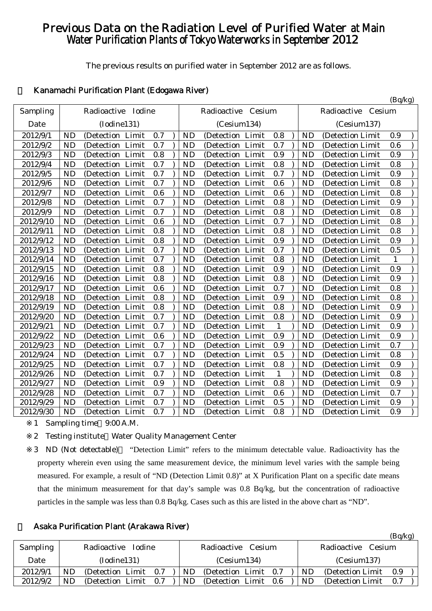# Previous Data on the Radiation Level of Purified Water at Main Water Purification Plants of Tokyo Waterworks in September 2012

The previous results on purified water in September 2012 are as follows.

 $(R_0/k_0)$ 

# 1 Kanamachi Purification Plant (Edogawa River)

|           |                                          |                                          | $(\nu q \nu s)$                       |
|-----------|------------------------------------------|------------------------------------------|---------------------------------------|
| Sampling  | Radioactive Iodine                       | Radioactive<br>Cesium                    | Radioactive<br>Cesium                 |
| Date      | (Iodine131)                              | (Cesium134)                              | (Cesium137)                           |
| 2012/9/1  | <b>ND</b>                                | 0.8                                      | <b>ND</b>                             |
|           | (Detection Limit                         | <b>ND</b>                                | (Detection Limit                      |
|           | 0.7                                      | (Detection Limit                         | 0.9                                   |
| 2012/9/2  | 0.7                                      | 0.7                                      | <b>ND</b>                             |
|           | <b>ND</b>                                | (Detection Limit                         | 0.6                                   |
|           | (Detection Limit                         | ND                                       | (Detection Limit)                     |
| 2012/9/3  | <b>ND</b>                                | 0.9                                      | <b>ND</b>                             |
|           | 0.8                                      | <b>ND</b>                                | 0.9                                   |
|           | (Detection Limit                         | (Detection Limit                         | (Detection Limit                      |
| 2012/9/4  | 0.7                                      | 0.8                                      | <b>ND</b>                             |
|           | <b>ND</b>                                | <b>ND</b>                                | 0.8                                   |
|           | (Detection Limit                         | (Detection Limit                         | (Detection Limit                      |
| 2012/9/5  | 0.7                                      | 0.7                                      | 0.9                                   |
|           | <b>ND</b>                                | <b>ND</b>                                | <b>ND</b>                             |
|           | (Detection Limit                         | (Detection Limit                         | (Detection Limit                      |
| 2012/9/6  | 0.7                                      | 0.6                                      | <b>ND</b>                             |
|           | <b>ND</b>                                | (Detection Limit                         | 0.8                                   |
|           | (Detection Limit                         | <b>ND</b>                                | (Detection Limit                      |
| 2012/9/7  | <b>ND</b>                                | 0.6                                      | 0.8                                   |
|           | 0.6                                      | <b>ND</b>                                | <b>ND</b>                             |
|           | (Detection Limit                         | (Detection Limit                         | (Detection Limit                      |
| 2012/9/8  | 0.7                                      | 0.8                                      | <b>ND</b>                             |
|           | <b>ND</b>                                | <b>ND</b>                                | 0.9                                   |
|           | (Detection Limit                         | (Detection Limit                         | (Detection Limit)                     |
| 2012/9/9  | 0.7                                      | 0.8                                      | 0.8                                   |
|           | <b>ND</b>                                | <b>ND</b>                                | <b>ND</b>                             |
|           | (Detection Limit                         | (Detection Limit                         | (Detection Limit                      |
| 2012/9/10 | <b>ND</b><br>0.6<br>Limit<br>(Detection) | 0.7<br><b>ND</b><br>(Detection Limit     | <b>ND</b><br>0.8<br>(Detection Limit) |
| 2012/9/11 | <b>ND</b>                                | 0.8                                      | 0.8                                   |
|           | 0.8                                      | <b>ND</b>                                | <b>ND</b>                             |
|           | (Detection Limit                         | (Detection Limit                         | (Detection Limit                      |
| 2012/9/12 | 0.8                                      | 0.9                                      | <b>ND</b>                             |
|           | <b>ND</b>                                | <b>ND</b>                                | 0.9                                   |
|           | (Detection Limit                         | (Detection Limit                         | (Detection Limit)                     |
| 2012/9/13 | <b>ND</b><br>0.7<br>Limit<br>(Detection  | 0.7<br><b>ND</b><br>(Detection Limit     | 0.5<br><b>ND</b><br>(Detection Limit  |
| 2012/9/14 | <b>ND</b><br>0.7<br>(Detection<br>Limit  | <b>ND</b><br>0.8<br>(Detection Limit     | <b>ND</b><br>(Detection Limit<br>1    |
| 2012/9/15 | <b>ND</b>                                | 0.9                                      | <b>ND</b>                             |
|           | 0.8                                      | <b>ND</b>                                | 0.9                                   |
|           | (Detection Limit                         | (Detection Limit                         | (Detection Limit                      |
| 2012/9/16 | 0.8<br><b>ND</b><br>Limit<br>(Detection) | 0.8<br><b>ND</b><br>Limit<br>(Detection) | <b>ND</b><br>0.9<br>(Detection Limit  |
| 2012/9/17 | 0.6                                      | 0.7                                      | <b>ND</b>                             |
|           | <b>ND</b>                                | <b>ND</b>                                | 0.8                                   |
|           | (Detection Limit                         | (Detection Limit                         | (Detection Limit)                     |
| 2012/9/18 | <b>ND</b><br>0.8<br>(Detection<br>Limit  | 0.9<br><b>ND</b><br>(Detection<br>Limit  | <b>ND</b><br>0.8<br>(Detection Limit  |
| 2012/9/19 | 0.8                                      | 0.8                                      | <b>ND</b>                             |
|           | <b>ND</b>                                | <b>ND</b>                                | 0.9                                   |
|           | (Detection Limit                         | (Detection Limit                         | (Detection Limit)                     |
| 2012/9/20 | 0.7                                      | 0.8                                      | <b>ND</b>                             |
|           | <b>ND</b>                                | <b>ND</b>                                | 0.9                                   |
|           | (Detection Limit                         | (Detection Limit                         | (Detection Limit                      |
| 2012/9/21 | 0.7                                      | (Detection Limit                         | <b>ND</b>                             |
|           | <b>ND</b>                                | $\mathbf{1}$                             | 0.9                                   |
|           | (Detection Limit                         | <b>ND</b>                                | (Detection Limit)                     |
| 2012/9/22 | <b>ND</b>                                | 0.9                                      | <b>ND</b>                             |
|           | (Detection Limit                         | <b>ND</b>                                | (Detection Limit                      |
|           | 0.6                                      | (Detection Limit                         | 0.9                                   |
| 2012/9/23 | 0.7                                      | 0.9                                      | 0.7                                   |
|           | <b>ND</b>                                | (Detection Limit                         | <b>ND</b>                             |
|           | (Detection Limit                         | <b>ND</b>                                | (Detection Limit                      |
| 2012/9/24 | 0.7                                      | 0.5                                      | <b>ND</b>                             |
|           | <b>ND</b>                                | <b>ND</b>                                | 0.8                                   |
|           | (Detection Limit                         | (Detection Limit                         | (Detection Limit                      |
| 2012/9/25 | 0.7                                      | 0.8                                      | 0.9                                   |
|           | <b>ND</b>                                | (Detection Limit                         | <b>ND</b>                             |
|           | (Detection Limit                         | <b>ND</b>                                | (Detection Limit)                     |
| 2012/9/26 | <b>ND</b>                                | <b>ND</b>                                | <b>ND</b>                             |
|           | 0.7                                      | $\mathbf{1}$                             | 0.8                                   |
|           | (Detection Limit                         | (Detection Limit                         | (Detection Limit                      |
| 2012/9/27 | 0.9                                      | 0.8                                      | <b>ND</b>                             |
|           | <b>ND</b>                                | <b>ND</b>                                | 0.9                                   |
|           | (Detection Limit                         | (Detection Limit                         | (Detection Limit)                     |
| 2012/9/28 | 0.7                                      | (Detection Limit                         | <b>ND</b>                             |
|           | (Detection Limit                         | 0.6                                      | 0.7                                   |
|           | <b>ND</b>                                | <b>ND</b>                                | (Detection Limit                      |
| 2012/9/29 | 0.7                                      | 0.5                                      | <b>ND</b>                             |
|           | <b>ND</b>                                | (Detection Limit                         | 0.9                                   |
|           | (Detection Limit                         | ND                                       | (Detection Limit)                     |
| 2012/9/30 | <b>ND</b>                                | <b>ND</b>                                | <b>ND</b>                             |
|           | 0.7                                      | 0.8                                      | 0.9                                   |
|           | (Detection Limit                         | (Detection Limit                         | (Detection Limit                      |
|           |                                          |                                          |                                       |

1 Sampling time 9:00 A.M.

2 Testing institute Water Quality Management Center

|  | Asaka Purification Plant (Arakawa River) |  |  |  |
|--|------------------------------------------|--|--|--|
|--|------------------------------------------|--|--|--|

|          |             |                              |     |    |                       |      |    |                       | (Bq/kg) |  |
|----------|-------------|------------------------------|-----|----|-----------------------|------|----|-----------------------|---------|--|
| Sampling |             | Radioactive<br><b>Iodine</b> |     |    | Radioactive Cesium    |      |    | Radioactive<br>Cesium |         |  |
| Date     | (Iodine131) |                              |     |    | (Cesium134)           |      |    | (Cesium137)           |         |  |
| 2012/9/1 | ND          | (Detection Limit)            | 0.7 | ND | (Detection Limit 0.7) |      | ND | (Detection Limit)     | 0.9     |  |
| 2012/9/2 | ND          | (Detection Limit)            | 0.7 | ND | (Detection Limit)     | -0.6 | ND | (Detection Limit)     | 0.7     |  |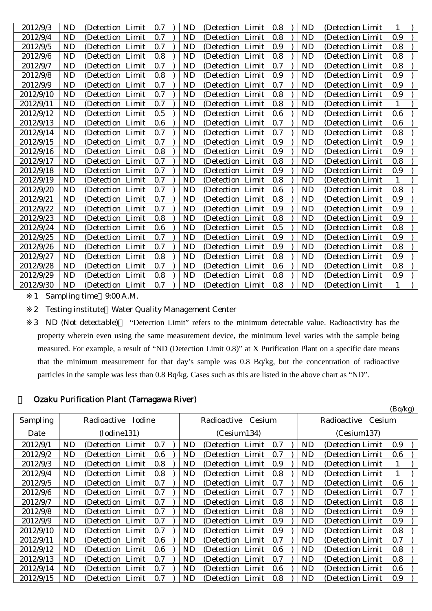| 2012/9/3  | <b>ND</b> | (Detection Limit) | 0.7 | ND        | (Detection Limit)    | 0.8 | ND        | (Detection Limit) | 1   |  |
|-----------|-----------|-------------------|-----|-----------|----------------------|-----|-----------|-------------------|-----|--|
| 2012/9/4  | <b>ND</b> | (Detection Limit) | 0.7 | ND        | (Detection Limit     | 0.8 | ND        | (Detection Limit  | 0.9 |  |
| 2012/9/5  | <b>ND</b> | (Detection Limit  | 0.7 | <b>ND</b> | (Detection Limit     | 0.9 | <b>ND</b> | (Detection Limit) | 0.8 |  |
| 2012/9/6  | <b>ND</b> | (Detection Limit  | 0.8 | ND        | (Detection Limit     | 0.8 | ND        | (Detection Limit  | 0.8 |  |
| 2012/9/7  | <b>ND</b> | (Detection Limit  | 0.7 | ND        | Limit<br>(Detection) | 0.7 | ND        | (Detection Limit  | 0.8 |  |
| 2012/9/8  | <b>ND</b> | (Detection Limit  | 0.8 | ND        | (Detection)<br>Limit | 0.9 | <b>ND</b> | (Detection Limit) | 0.9 |  |
| 2012/9/9  | ND        | (Detection Limit) | 0.7 | ND        | (Detection Limit     | 0.7 | ND        | (Detection Limit) | 0.9 |  |
| 2012/9/10 | <b>ND</b> | (Detection Limit  | 0.7 | ND        | Limit<br>(Detection  | 0.8 | ND        | (Detection Limit) | 0.9 |  |
| 2012/9/11 | ND        | (Detection Limit) | 0.7 | ND        | Limit<br>(Detection) | 0.8 | ND        | (Detection Limit) | 1   |  |
| 2012/9/12 | ND        | (Detection Limit) | 0.5 | ND        | (Detection Limit     | 0.6 | ND        | (Detection Limit) | 0.6 |  |
| 2012/9/13 | <b>ND</b> | (Detection Limit  | 0.6 | <b>ND</b> | (Detection Limit     | 0.7 | <b>ND</b> | (Detection Limit) | 0.6 |  |
| 2012/9/14 | <b>ND</b> | (Detection Limit  | 0.7 | ND        | Limit<br>(Detection  | 0.7 | ND        | (Detection Limit) | 0.8 |  |
| 2012/9/15 | <b>ND</b> | (Detection Limit) | 0.7 | <b>ND</b> | (Detection Limit     | 0.9 | <b>ND</b> | (Detection Limit) | 0.9 |  |
| 2012/9/16 | <b>ND</b> | (Detection Limit  | 0.8 | <b>ND</b> | (Detection Limit     | 0.9 | <b>ND</b> | (Detection Limit) | 0.9 |  |
| 2012/9/17 | ND        | (Detection Limit  | 0.7 | ND        | Limit<br>(Detection) | 0.8 | ND        | (Detection Limit) | 0.8 |  |
| 2012/9/18 | ND        | (Detection Limit  | 0.7 | ND        | Limit<br>(Detection) | 0.9 | <b>ND</b> | (Detection Limit) | 0.9 |  |
| 2012/9/19 | <b>ND</b> | (Detection Limit) | 0.7 | ND        | (Detection)<br>Limit | 0.8 | ND        | (Detection Limit) | 1   |  |
| 2012/9/20 | ND        | (Detection Limit  | 0.7 | ND        | Limit<br>(Detection  | 0.6 | ND        | (Detection Limit) | 0.8 |  |
| 2012/9/21 | <b>ND</b> | (Detection Limit) | 0.7 | <b>ND</b> | Limit<br>(Detection) | 0.8 | <b>ND</b> | (Detection Limit) | 0.9 |  |
| 2012/9/22 | ND        | (Detection Limit  | 0.7 | ND        | Limit<br>(Detection) | 0.9 | ND        | (Detection Limit) | 0.9 |  |
| 2012/9/23 | ND        | (Detection Limit) | 0.8 | ND        | (Detection)<br>Limit | 0.8 | ND        | (Detection Limit) | 0.9 |  |
| 2012/9/24 | ND        | (Detection Limit  | 0.6 | ND        | (Detection Limit     | 0.5 | ND        | (Detection Limit) | 0.8 |  |
| 2012/9/25 | <b>ND</b> | (Detection Limit  | 0.7 | ND        | Limit<br>(Detection) | 0.9 | <b>ND</b> | (Detection Limit) | 0.9 |  |
| 2012/9/26 | <b>ND</b> | (Detection Limit  | 0.7 | ND        | Limit<br>(Detection) | 0.9 | <b>ND</b> | (Detection Limit  | 0.8 |  |
| 2012/9/27 | <b>ND</b> | (Detection Limit) | 0.8 | <b>ND</b> | (Detection Limit)    | 0.8 | <b>ND</b> | (Detection Limit) | 0.9 |  |
| 2012/9/28 | <b>ND</b> | (Detection Limit  | 0.7 | ND        | (Detection Limit     | 0.6 | <b>ND</b> | (Detection Limit) | 0.8 |  |
| 2012/9/29 | <b>ND</b> | (Detection Limit  | 0.8 | <b>ND</b> | (Detection Limit     | 0.8 | <b>ND</b> | (Detection Limit) | 0.9 |  |
| 2012/9/30 | <b>ND</b> | (Detection Limit  | 0.7 | <b>ND</b> | (Detection Limit     | 0.8 | <b>ND</b> | (Detection Limit) | 1   |  |

1 Sampling time 9:00 A.M.

2 Testing institute Water Quality Management Center

3 ND (Not detectable) "Detection Limit" refers to the minimum detectable value. Radioactivity has the property wherein even using the same measurement device, the minimum level varies with the sample being measured. For example, a result of "ND (Detection Limit 0.8)" at X Purification Plant on a specific date means that the minimum measurement for that day's sample was 0.8 Bq/kg, but the concentration of radioactive particles in the sample was less than 0.8 Bq/kg. Cases such as this are listed in the above chart as "ND".

#### 3 Ozaku Purification Plant (Tamagawa River)

|           |           |                    |         |           |                    |     |                    |                   | (Bq/kg) |  |
|-----------|-----------|--------------------|---------|-----------|--------------------|-----|--------------------|-------------------|---------|--|
| Sampling  |           | Radioactive Iodine |         |           | Radioactive Cesium |     | Radioactive Cesium |                   |         |  |
| Date      |           | (Iodine131)        |         |           | (Cesium134)        |     |                    | (Cesium137)       |         |  |
| 2012/9/1  | <b>ND</b> | (Detection Limit   | 0.7     | <b>ND</b> | (Detection Limit)  | 0.7 | <b>ND</b>          | (Detection Limit  | 0.9     |  |
| 2012/9/2  | <b>ND</b> | (Detection Limit)  | $0.6\,$ | <b>ND</b> | (Detection Limit)  | 0.7 | <b>ND</b>          | (Detection Limit  | 0.6     |  |
| 2012/9/3  | <b>ND</b> | (Detection Limit   | 0.8     | <b>ND</b> | (Detection Limit)  | 0.9 | <b>ND</b>          | (Detection Limit) | 1       |  |
| 2012/9/4  | <b>ND</b> | (Detection Limit)  | 0.8     | <b>ND</b> | (Detection Limit)  | 0.8 | ND                 | (Detection Limit) | 1       |  |
| 2012/9/5  | <b>ND</b> | (Detection Limit)  | 0.7     | <b>ND</b> | (Detection Limit)  | 0.7 | ND                 | (Detection Limit) | 0.6     |  |
| 2012/9/6  | <b>ND</b> | (Detection Limit)  | 0.7     | <b>ND</b> | (Detection Limit)  | 0.7 | ND                 | (Detection Limit) | 0.7     |  |
| 2012/9/7  | <b>ND</b> | (Detection Limit)  | 0.7     | <b>ND</b> | (Detection Limit)  | 0.8 | ND                 | (Detection Limit) | 0.8     |  |
| 2012/9/8  | <b>ND</b> | (Detection Limit)  | 0.7     | ND        | (Detection Limit)  | 0.8 | ND                 | (Detection Limit) | 0.9     |  |
| 2012/9/9  | <b>ND</b> | (Detection Limit)  | 0.7     | ND        | (Detection Limit)  | 0.9 | ND                 | (Detection Limit) | 0.9     |  |
| 2012/9/10 | <b>ND</b> | (Detection Limit)  | 0.7     | ND        | (Detection Limit)  | 0.9 | ND                 | (Detection Limit) | 0.8     |  |
| 2012/9/11 | <b>ND</b> | (Detection Limit)  | 0.6     | ND        | (Detection Limit)  | 0.7 | ND                 | (Detection Limit) | 0.7     |  |
| 2012/9/12 | <b>ND</b> | (Detection Limit)  | $0.6\,$ | ND        | (Detection Limit)  | 0.6 | ND                 | (Detection Limit) | 0.8     |  |
| 2012/9/13 | <b>ND</b> | (Detection Limit)  | 0.7     | ND        | (Detection Limit)  | 0.7 | ND                 | (Detection Limit) | 0.8     |  |
| 2012/9/14 | <b>ND</b> | (Detection Limit)  | 0.7     | ND        | (Detection Limit)  | 0.6 | <b>ND</b>          | (Detection Limit) | 0.6     |  |
| 2012/9/15 | ND        | (Detection Limit)  | 0.7     | ND        | (Detection Limit)  | 0.8 | ND                 | (Detection Limit) | 0.9     |  |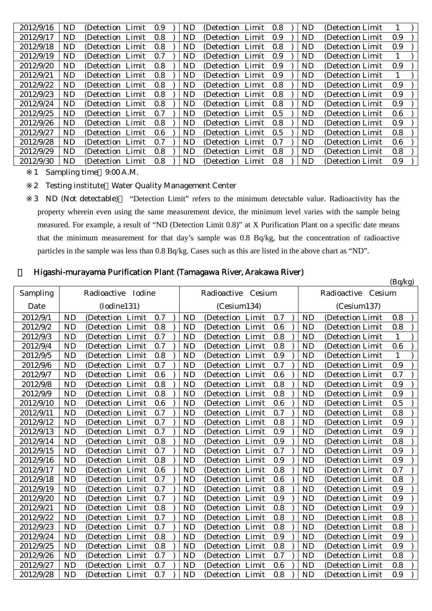| 2012/9/16 | ND        | (Detection Limit) | 0.9 | ND | (Detection Limit)      | 0.8 | ND        | (Detection Limit) |         |  |
|-----------|-----------|-------------------|-----|----|------------------------|-----|-----------|-------------------|---------|--|
| 2012/9/17 | ND        | (Detection Limit) | 0.8 | ND | (Detection Limit)      | 0.9 | ND        | (Detection Limit) | 0.9     |  |
| 2012/9/18 | ND        | (Detection Limit) | 0.8 | ND | (Detection Limit)      | 0.8 | <b>ND</b> | (Detection Limit) | 0.9     |  |
| 2012/9/19 | ND        | (Detection Limit) | 0.7 | ND | (Detection Limit)      | 0.9 | <b>ND</b> | (Detection Limit) |         |  |
| 2012/9/20 | <b>ND</b> | (Detection Limit) | 0.8 | ND | (Detection Limit)      | 0.9 | <b>ND</b> | (Detection Limit) | 0.9     |  |
| 2012/9/21 | <b>ND</b> | (Detection Limit) | 0.8 | ND | (Detection Limit)      | 0.9 | <b>ND</b> | (Detection Limit) |         |  |
| 2012/9/22 | <b>ND</b> | (Detection Limit) | 0.8 | ND | (Detection Limit)      | 0.8 | <b>ND</b> | (Detection Limit) | 0.9     |  |
| 2012/9/23 | <b>ND</b> | (Detection Limit) | 0.8 | ND | (Detection Limit)      | 0.8 | <b>ND</b> | (Detection Limit) | 0.9     |  |
| 2012/9/24 | <b>ND</b> | (Detection Limit) | 0.8 | ND | (Detection Limit)      | 0.8 | <b>ND</b> | (Detection Limit) | 0.9     |  |
| 2012/9/25 | ND        | (Detection Limit) | 0.7 | ND | (Detection Limit)      | 0.5 | <b>ND</b> | (Detection Limit) | 0.6     |  |
| 2012/9/26 | ND        | (Detection Limit) | 0.8 | ND | (Detection Limit)      | 0.8 | <b>ND</b> | (Detection Limit) | 0.9     |  |
| 2012/9/27 | ND        | (Detection Limit) | 0.6 | ND | (Detection Limit)      | 0.5 | <b>ND</b> | (Detection Limit) | 0.8     |  |
| 2012/9/28 | <b>ND</b> | (Detection Limit) | 0.7 | ND | (Detection Limit)      | 0.7 | <b>ND</b> | (Detection Limit) | $0.6\,$ |  |
| 2012/9/29 | ND        | (Detection Limit) | 0.8 | ND | (Detection Limit)      | 0.8 | <b>ND</b> | (Detection Limit  | 0.8     |  |
| 2012/9/30 | ND        | (Detection Limit) | 0.8 | ND | - Limit<br>(Detection) | 0.8 | <b>ND</b> | (Detection Limit  | 0.9     |  |

1 Sampling time 9:00 A.M.

2 Testing institute Water Quality Management Center

3 ND (Not detectable) "Detection Limit" refers to the minimum detectable value. Radioactivity has the property wherein even using the same measurement device, the minimum level varies with the sample being measured. For example, a result of "ND (Detection Limit 0.8)" at X Purification Plant on a specific date means that the minimum measurement for that day's sample was 0.8 Bq/kg, but the concentration of radioactive particles in the sample was less than 0.8 Bq/kg. Cases such as this are listed in the above chart as "ND".

# 4 Higashi-murayama Purification Plant (Tamagawa River, Arakawa River)

|           |           |                      |     |           |                      |     |           |                    | (Bq/kg) |
|-----------|-----------|----------------------|-----|-----------|----------------------|-----|-----------|--------------------|---------|
| Sampling  |           | Radioactive Iodine   |     |           | Radioactive Cesium   |     |           | Radioactive Cesium |         |
| Date      |           | (Iodine131)          |     |           | (Cesium134)          |     |           | (Cesium137)        |         |
| 2012/9/1  | <b>ND</b> | (Detection Limit     | 0.7 | <b>ND</b> | (Detection Limit     | 0.7 | <b>ND</b> | (Detection Limit   | 0.8     |
| 2012/9/2  | <b>ND</b> | Limit<br>(Detection  | 0.8 | <b>ND</b> | Limit<br>(Detection  | 0.6 | <b>ND</b> | (Detection Limit   | 0.8     |
| 2012/9/3  | <b>ND</b> | Limit<br>(Detection  | 0.7 | <b>ND</b> | Limit<br>(Detection  | 0.8 | <b>ND</b> | (Detection Limit   | 1       |
| 2012/9/4  | <b>ND</b> | Limit<br>(Detection) | 0.7 | <b>ND</b> | Limit<br>(Detection  | 0.8 | <b>ND</b> | (Detection Limit   | 0.6     |
| 2012/9/5  | <b>ND</b> | (Detection Limit     | 0.8 | <b>ND</b> | (Detection Limit     | 0.9 | <b>ND</b> | (Detection Limit   | 1       |
| 2012/9/6  | <b>ND</b> | Limit<br>(Detection  | 0.7 | <b>ND</b> | Limit<br>(Detection) | 0.7 | <b>ND</b> | (Detection Limit   | 0.9     |
| 2012/9/7  | <b>ND</b> | (Detection Limit     | 0.6 | <b>ND</b> | Limit<br>(Detection  | 0.6 | <b>ND</b> | (Detection Limit   | 0.7     |
| 2012/9/8  | <b>ND</b> | (Detection Limit     | 0.8 | <b>ND</b> | Limit<br>(Detection  | 0.8 | <b>ND</b> | (Detection Limit   | 0.9     |
| 2012/9/9  | <b>ND</b> | Limit<br>(Detection  | 0.8 | <b>ND</b> | (Detection<br>Limit  | 0.8 | <b>ND</b> | (Detection Limit   | 0.9     |
| 2012/9/10 | <b>ND</b> | (Detection Limit     | 0.6 | <b>ND</b> | Limit<br>(Detection  | 0.6 | <b>ND</b> | (Detection Limit   | 0.5     |
| 2012/9/11 | <b>ND</b> | (Detection Limit     | 0.7 | <b>ND</b> | (Detection<br>Limit  | 0.7 | <b>ND</b> | (Detection Limit   | 0.8     |
| 2012/9/12 | <b>ND</b> | Limit<br>(Detection) | 0.7 | <b>ND</b> | Limit<br>(Detection  | 0.8 | <b>ND</b> | (Detection Limit   | 0.9     |
| 2012/9/13 | <b>ND</b> | Limit<br>(Detection  | 0.7 | <b>ND</b> | Limit<br>(Detection  | 0.9 | <b>ND</b> | (Detection Limit)  | 0.9     |
| 2012/9/14 | <b>ND</b> | Limit<br>(Detection  | 0.8 | <b>ND</b> | Limit<br>(Detection  | 0.9 | <b>ND</b> | (Detection Limit   | 0.8     |
| 2012/9/15 | <b>ND</b> | (Detection Limit     | 0.7 | <b>ND</b> | (Detection Limit     | 0.7 | <b>ND</b> | (Detection Limit   | 0.9     |
| 2012/9/16 | <b>ND</b> | (Detection Limit     | 0.8 | <b>ND</b> | Limit<br>(Detection) | 0.9 | <b>ND</b> | (Detection Limit   | 0.9     |
| 2012/9/17 | <b>ND</b> | (Detection)<br>Limit | 0.6 | <b>ND</b> | Limit<br>(Detection) | 0.8 | <b>ND</b> | (Detection Limit   | 0.7     |
| 2012/9/18 | <b>ND</b> | Limit<br>(Detection) | 0.7 | <b>ND</b> | Limit<br>(Detection  | 0.6 | <b>ND</b> | (Detection Limit)  | 0.8     |
| 2012/9/19 | <b>ND</b> | (Detection Limit     | 0.7 | <b>ND</b> | Limit<br>(Detection  | 0.8 | <b>ND</b> | (Detection Limit   | 0.9     |
| 2012/9/20 | <b>ND</b> | (Detection Limit     | 0.7 | <b>ND</b> | (Detection<br>Limit  | 0.9 | <b>ND</b> | (Detection Limit   | 0.9     |
| 2012/9/21 | <b>ND</b> | (Detection Limit     | 0.8 | <b>ND</b> | Limit<br>(Detection  | 0.8 | <b>ND</b> | (Detection Limit   | 0.9     |
| 2012/9/22 | <b>ND</b> | Limit<br>(Detection) | 0.7 | <b>ND</b> | Limit<br>(Detection  | 0.8 | <b>ND</b> | (Detection Limit   | 0.8     |
| 2012/9/23 | <b>ND</b> | Limit<br>(Detection  | 0.7 | <b>ND</b> | Limit<br>(Detection  | 0.8 | <b>ND</b> | (Detection Limit   | 0.8     |
| 2012/9/24 | <b>ND</b> | Limit<br>(Detection) | 0.8 | <b>ND</b> | Limit<br>(Detection  | 0.9 | <b>ND</b> | (Detection Limit   | 0.9     |
| 2012/9/25 | <b>ND</b> | Limit<br>(Detection  | 0.8 | <b>ND</b> | (Detection<br>Limit  | 0.8 | <b>ND</b> | (Detection Limit   | 0.9     |
| 2012/9/26 | <b>ND</b> | Limit<br>(Detection) | 0.7 | <b>ND</b> | Limit<br>(Detection  | 0.7 | <b>ND</b> | (Detection Limit   | 0.8     |
| 2012/9/27 | <b>ND</b> | (Detection Limit     | 0.7 | <b>ND</b> | Limit<br>(Detection  | 0.6 | <b>ND</b> | (Detection Limit   | 0.8     |
| 2012/9/28 | <b>ND</b> | (Detection Limit     | 0.7 | <b>ND</b> | (Detection Limit     | 0.8 | <b>ND</b> | (Detection Limit)  | 0.9     |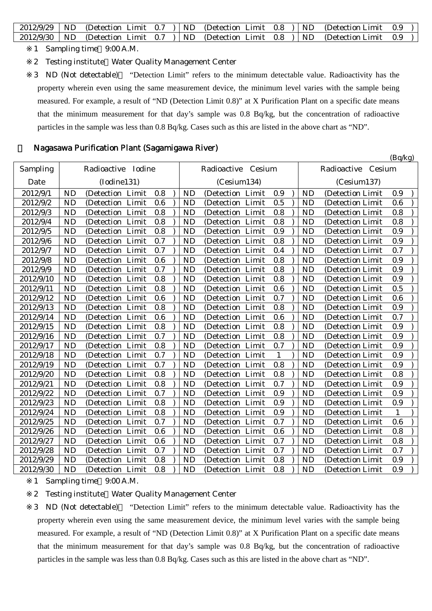|  |  |  | $2012/9/29$ ND (Detection Limit 0.7 ) ND (Detection Limit 0.8 ) ND (Detection Limit 0.9 ) |  |  |
|--|--|--|-------------------------------------------------------------------------------------------|--|--|
|  |  |  | $2012/9/30$ ND (Detection Limit 0.7 ) ND (Detection Limit 0.8 ) ND (Detection Limit 0.9 ) |  |  |

- 1 Sampling time 9:00 A.M.
- 2 Testing institute Water Quality Management Center

3 ND (Not detectable) "Detection Limit" refers to the minimum detectable value. Radioactivity has the property wherein even using the same measurement device, the minimum level varies with the sample being measured. For example, a result of "ND (Detection Limit 0.8)" at X Purification Plant on a specific date means that the minimum measurement for that day's sample was 0.8 Bq/kg, but the concentration of radioactive particles in the sample was less than 0.8 Bq/kg. Cases such as this are listed in the above chart as "ND".

#### 5 Nagasawa Purification Plant (Sagamigawa River)

(Bq/kg) Sampling Date Radioactive Iodine (Iodine131) Radioactive Cesium (Cesium134) Radioactive Cesium (Cesium137)  $2012/9/1$  ND (Detection Limit 0.8 ) ND (Detection Limit 0.9 ) ND (Detection Limit 0.9 )  $2012/9/2$  ND (Detection Limit 0.6 ) ND (Detection Limit 0.5 ) ND (Detection Limit 0.6 )  $2012/9/3$  ND (Detection Limit 0.8 ) ND (Detection Limit 0.8 ) ND (Detection Limit 0.8 )  $2012/9/4$  ND (Detection Limit 0.8 ) ND (Detection Limit 0.8 ) ND (Detection Limit 0.8 )  $2012/9/5$  ND (Detection Limit 0.8 ) ND (Detection Limit 0.9 ) ND (Detection Limit 0.9  $2012/9/6$  ND (Detection Limit 0.7 ) ND (Detection Limit 0.8 ) ND (Detection Limit 0.9 )  $2012/9/7$  ND (Detection Limit 0.7 ) ND (Detection Limit 0.4 ) ND (Detection Limit 0.7 )  $2012/9/8$  ND (Detection Limit 0.6 ) ND (Detection Limit 0.8 ) ND (Detection Limit 0.9 )  $2012/9/9$  ND (Detection Limit 0.7 ) ND (Detection Limit 0.8 ) ND (Detection Limit 0.9 )  $2012/9/10$  ND (Detection Limit 0.8 ) ND (Detection Limit 0.8 ) ND (Detection Limit 0.9 ) 2012/9/11 | ND (Detection Limit 0.8 ) | ND (Detection Limit 0.6 ) | ND (Detection Limit 0.5 )  $2012/9/12$  ND (Detection Limit 0.6 ) ND (Detection Limit 0.7 ) ND (Detection Limit 0.6 )  $2012/9/13$  ND (Detection Limit 0.8 ) ND (Detection Limit 0.8 ) ND (Detection Limit 0.9 )  $2012/9/14$  ND (Detection Limit 0.6 ) ND (Detection Limit 0.6 ) ND (Detection Limit 0.7 )  $2012/9/15$  ND (Detection Limit 0.8 ) ND (Detection Limit 0.8 ) ND (Detection Limit 0.9 ) 2012/9/16 ND (Detection Limit 0.7 ) ND (Detection Limit 0.8 ) ND (Detection Limit 0.9 )  $2012/9/17$  ND (Detection Limit 0.8 ) ND (Detection Limit 0.7 ) ND (Detection Limit 0.9 )  $2012/9/18$  ND (Detection Limit 0.7 ) ND (Detection Limit 1 ) ND (Detection Limit 0.9 )  $2012/9/19$  ND (Detection Limit 0.7 ) ND (Detection Limit 0.8 ) ND (Detection Limit 0.9 )  $2012/9/20$  ND (Detection Limit 0.8 ) ND (Detection Limit 0.8 ) ND (Detection Limit 0.8 ) 2012/9/21 | ND (Detection Limit 0.8 ) | ND (Detection Limit 0.7 ) | ND (Detection Limit 0.9  $2012/9/22$  ND (Detection Limit 0.7 ) ND (Detection Limit 0.9 ) ND (Detection Limit 0.9 )  $2012/9/23$  ND (Detection Limit 0.8 ) ND (Detection Limit 0.9 ) ND (Detection Limit 0.9 ) 2012/9/24 | ND (Detection Limit 0.8 ) | ND (Detection Limit 0.9 ) | ND (Detection Limit 1 )  $2012/9/25$  ND (Detection Limit 0.7 ) ND (Detection Limit 0.7 ) ND (Detection Limit 0.6 ) 2012/9/26 | ND (Detection Limit 0.6 ) | ND (Detection Limit 0.6 ) | ND (Detection Limit 0.8 )  $2012/9/27$  ND (Detection Limit 0.6 ) ND (Detection Limit 0.7 ) ND (Detection Limit 0.8 ) 2012/9/28 ND (Detection Limit 0.7 ) ND (Detection Limit 0.7 ) ND (Detection Limit 0.7 )  $2012/9/29$  ND (Detection Limit 0.8 ) ND (Detection Limit 0.8 ) ND (Detection Limit 0.9 )  $2012/9/30$  ND (Detection Limit 0.8 ) ND (Detection Limit 0.8 ) ND (Detection Limit 0.9 )

1 Sampling time 9:00 A.M.

2 Testing institute Water Quality Management Center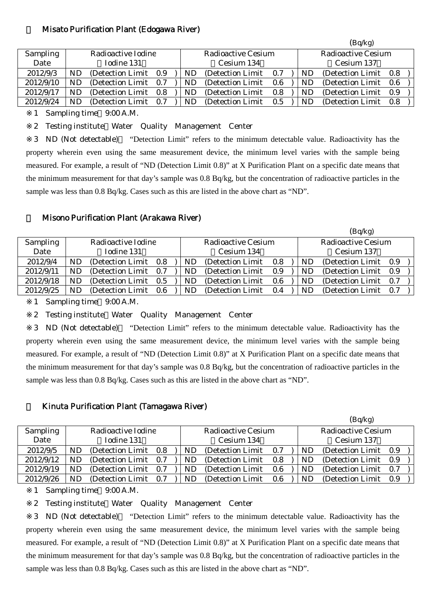#### 6 Misato Purification Plant (Edogawa River)

| Radioactive Cesium<br>Radioactive Iodine<br><b>Sampling</b><br>Radioactive Cesium                        |     |
|----------------------------------------------------------------------------------------------------------|-----|
| Date<br>Iodine 131<br>Cesium 134<br>Cesium 137                                                           |     |
| 2012/9/3<br>ND<br>(Detection Limit 0.9)<br>ND<br>(Detection Limit)<br>(Detection Limit)<br>ND<br>0.7     | 0.8 |
| 2012/9/10<br>(Detection Limit)<br>ND<br>(Detection Limit)<br>(Detection Limit)<br>ND<br>ND<br>0.7<br>0.6 | 0.6 |
| 2012/9/17<br>(Detection Limit)<br>(Detection Limit)<br>(Detection Limit)<br>ND<br>ND<br>0.8<br>NΕ<br>0.8 | 0.9 |
| 2012/9/24<br>(Detection Limit)<br>(Detection Limit)<br>ND<br>(Detection Limit)<br>NΕ<br>ND<br>0.7<br>0.5 | 0.8 |

1 Sampling time 9:00 A.M.

2 Testing institute Water Quality Management Center

3 ND (Not detectable) "Detection Limit" refers to the minimum detectable value. Radioactivity has the property wherein even using the same measurement device, the minimum level varies with the sample being measured. For example, a result of "ND (Detection Limit 0.8)" at X Purification Plant on a specific date means that the minimum measurement for that day's sample was 0.8 Bq/kg, but the concentration of radioactive particles in the sample was less than 0.8 Bq/kg. Cases such as this are listed in the above chart as "ND".

#### 7 Misono Purification Plant (Arakawa River)

|    |                   |     |                                                                                               |    |                   |     |                    |    | (Bq/kg)    |     |                                                                                                                           |
|----|-------------------|-----|-----------------------------------------------------------------------------------------------|----|-------------------|-----|--------------------|----|------------|-----|---------------------------------------------------------------------------------------------------------------------------|
|    |                   |     |                                                                                               |    |                   |     |                    |    |            |     |                                                                                                                           |
|    | Iodine 131        |     |                                                                                               |    | Cesium 134        |     |                    |    | Cesium 137 |     |                                                                                                                           |
| ND |                   |     |                                                                                               | ND | (Detection Limit) | 0.8 |                    | ND |            |     |                                                                                                                           |
| ND |                   |     |                                                                                               | ND | (Detection Limit) | 0.9 |                    | ND |            |     |                                                                                                                           |
| ND |                   |     |                                                                                               | ND | (Detection Limit) | 0.6 |                    | ND |            |     |                                                                                                                           |
| ND | (Detection Limit) | 0.6 |                                                                                               | ND | (Detection Limit) | 0.4 |                    | ND |            | 0.7 |                                                                                                                           |
|    |                   |     | Radioactive Iodine<br>(Detection Limit 0.8)<br>(Detection Limit 0.7)<br>(Detection Limit 0.5) |    |                   |     | Radioactive Cesium |    |            |     | <b>Radioactive Cesium</b><br>(Detection Limit 0.9)<br>(Detection Limit 0.9)<br>(Detection Limit 0.7)<br>(Detection Limit) |

1 Sampling time 9:00 A.M.

2 Testing institute Water Quality Management Center

3 ND (Not detectable) "Detection Limit" refers to the minimum detectable value. Radioactivity has the property wherein even using the same measurement device, the minimum level varies with the sample being measured. For example, a result of "ND (Detection Limit 0.8)" at X Purification Plant on a specific date means that the minimum measurement for that day's sample was 0.8 Bq/kg, but the concentration of radioactive particles in the sample was less than 0.8 Bq/kg. Cases such as this are listed in the above chart as "ND".

#### 8 Kinuta Purification Plant (Tamagawa River)

|                 |    |                       |     |     |                    |     |                    | (Bq/kg)           |     |  |
|-----------------|----|-----------------------|-----|-----|--------------------|-----|--------------------|-------------------|-----|--|
| <b>Sampling</b> |    | Radioactive Iodine    |     |     | Radioactive Cesium |     | Radioactive Cesium |                   |     |  |
| Date            |    | Iodine 131            |     |     | Cesium 134         |     |                    | Cesium 137        |     |  |
| 2012/9/5        | ND | (Detection Limit 0.8) |     | ND  | (Detection Limit)  | 0.7 | ND                 | (Detection Limit) | 0.9 |  |
| 2012/9/12       | ND | (Detection Limit 0.7) |     | ND. | (Detection Limit)  | 0.8 | ND                 | (Detection Limit) | 0.9 |  |
| 2012/9/19       | ND | (Detection Limit)     | 0.7 | ND  | (Detection Limit)  | 0.6 | ND                 | (Detection Limit) | 0.7 |  |
| 2012/9/26       | ND | (Detection Limit)     | 0.7 | ND  | (Detection Limit)  | 0.6 | ND                 | (Detection Limit) | 0.9 |  |

1 Sampling time 9:00 A.M.

2 Testing institute Water Quality Management Center